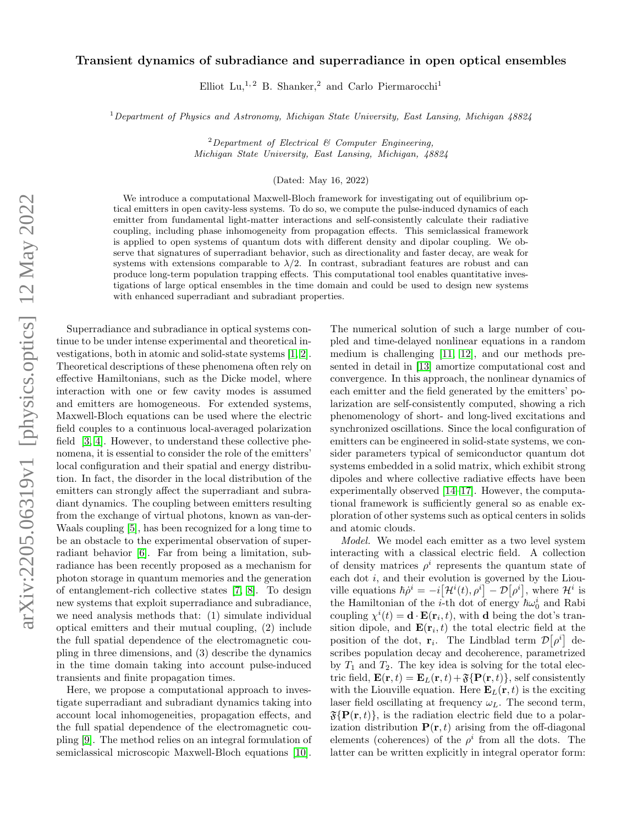## arXiv:2205.06319v1 [physics.optics] 12 May 2022 arXiv:2205.06319v1 [physics.optics] 12 May 2022

## Transient dynamics of subradiance and superradiance in open optical ensembles

Elliot Lu,<sup>1,2</sup> B. Shanker,<sup>2</sup> and Carlo Piermarocchi<sup>1</sup>

 $1$  Department of Physics and Astronomy, Michigan State University, East Lansing, Michigan  $48824$ 

<sup>2</sup>Department of Electrical  $\mathcal B$  Computer Engineering, Michigan State University, East Lansing, Michigan, 48824

(Dated: May 16, 2022)

We introduce a computational Maxwell-Bloch framework for investigating out of equilibrium optical emitters in open cavity-less systems. To do so, we compute the pulse-induced dynamics of each emitter from fundamental light-matter interactions and self-consistently calculate their radiative coupling, including phase inhomogeneity from propagation effects. This semiclassical framework is applied to open systems of quantum dots with different density and dipolar coupling. We observe that signatures of superradiant behavior, such as directionality and faster decay, are weak for systems with extensions comparable to  $\lambda/2$ . In contrast, subradiant features are robust and can produce long-term population trapping effects. This computational tool enables quantitative investigations of large optical ensembles in the time domain and could be used to design new systems with enhanced superradiant and subradiant properties.

Superradiance and subradiance in optical systems continue to be under intense experimental and theoretical investigations, both in atomic and solid-state systems [\[1,](#page-3-0) [2\]](#page-3-1). Theoretical descriptions of these phenomena often rely on effective Hamiltonians, such as the Dicke model, where interaction with one or few cavity modes is assumed and emitters are homogeneous. For extended systems, Maxwell-Bloch equations can be used where the electric field couples to a continuous local-averaged polarization field [\[3,](#page-4-0) [4\]](#page-4-1). However, to understand these collective phenomena, it is essential to consider the role of the emitters' local configuration and their spatial and energy distribution. In fact, the disorder in the local distribution of the emitters can strongly affect the superradiant and subradiant dynamics. The coupling between emitters resulting from the exchange of virtual photons, known as van-der-Waals coupling [\[5\]](#page-4-2), has been recognized for a long time to be an obstacle to the experimental observation of superradiant behavior [\[6\]](#page-4-3). Far from being a limitation, subradiance has been recently proposed as a mechanism for photon storage in quantum memories and the generation of entanglement-rich collective states [\[7,](#page-4-4) [8\]](#page-4-5). To design new systems that exploit superradiance and subradiance, we need analysis methods that: (1) simulate individual optical emitters and their mutual coupling, (2) include the full spatial dependence of the electromagnetic coupling in three dimensions, and (3) describe the dynamics in the time domain taking into account pulse-induced transients and finite propagation times.

Here, we propose a computational approach to investigate superradiant and subradiant dynamics taking into account local inhomogeneities, propagation effects, and the full spatial dependence of the electromagnetic coupling [\[9\]](#page-4-6). The method relies on an integral formulation of semiclassical microscopic Maxwell-Bloch equations [\[10\]](#page-4-7).

The numerical solution of such a large number of coupled and time-delayed nonlinear equations in a random medium is challenging [\[11,](#page-4-8) [12\]](#page-4-9), and our methods presented in detail in [\[13\]](#page-4-10) amortize computational cost and convergence. In this approach, the nonlinear dynamics of each emitter and the field generated by the emitters' polarization are self-consistently computed, showing a rich phenomenology of short- and long-lived excitations and synchronized oscillations. Since the local configuration of emitters can be engineered in solid-state systems, we consider parameters typical of semiconductor quantum dot systems embedded in a solid matrix, which exhibit strong dipoles and where collective radiative effects have been experimentally observed [\[14](#page-4-11)[–17\]](#page-4-12). However, the computational framework is sufficiently general so as enable exploration of other systems such as optical centers in solids and atomic clouds.

Model. We model each emitter as a two level system interacting with a classical electric field. A collection of density matrices  $\rho^i$  represents the quantum state of each dot i, and their evolution is governed by the Liouville equations  $\hbar \dot{\rho}^i = -i[\mathcal{H}^i(t), \rho^i] - \mathcal{D}[\rho^i]$ , where  $\mathcal{H}^i$  is the Hamiltonian of the *i*-th dot of energy  $\hbar\omega_0^i$  and Rabi coupling  $\chi^i(t) = \mathbf{d} \cdot \mathbf{E}(\mathbf{r}_i, t)$ , with **d** being the dot's transition dipole, and  $\mathbf{E}(\mathbf{r}_i, t)$  the total electric field at the position of the dot,  $\mathbf{r}_i$ . The Lindblad term  $\mathcal{D}[\rho^i]$  describes population decay and decoherence, parametrized by  $T_1$  and  $T_2$ . The key idea is solving for the total electric field,  $\mathbf{E}(\mathbf{r}, t) = \mathbf{E}_L(\mathbf{r}, t) + \mathfrak{F}\{\mathbf{P}(\mathbf{r}, t)\}\$ , self consistently with the Liouville equation. Here  $\mathbf{E}_L(\mathbf{r},t)$  is the exciting laser field oscillating at frequency  $\omega_L$ . The second term,  $\mathfrak{F}\{\mathbf{P}(\mathbf{r},t)\}\$ , is the radiation electric field due to a polarization distribution  $P(r, t)$  arising from the off-diagonal elements (coherences) of the  $\rho^i$  from all the dots. The latter can be written explicitly in integral operator form: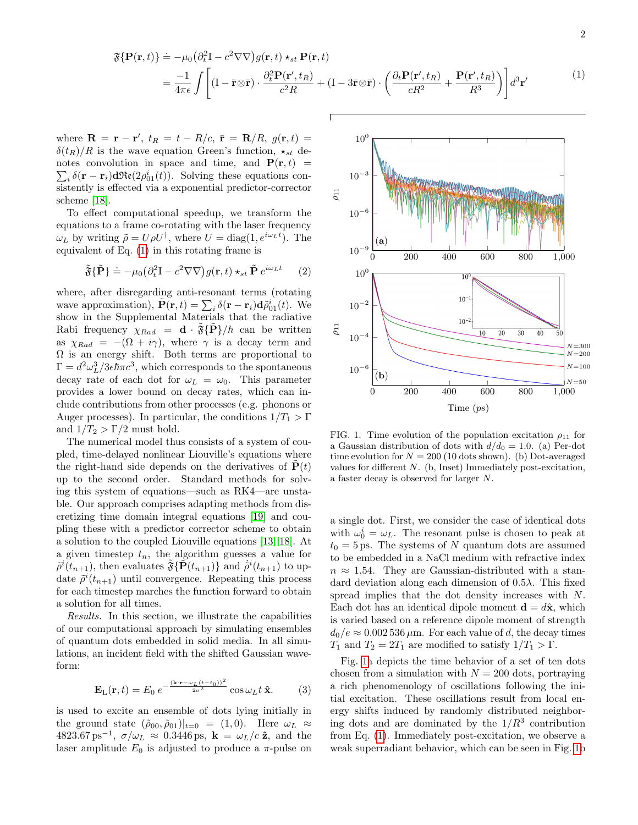<span id="page-1-0"></span>
$$
\mathfrak{F}\{\mathbf{P}(\mathbf{r},t)\} \doteq -\mu_0 \left(\partial_t^2 \mathbf{I} - c^2 \nabla \nabla\right) g(\mathbf{r},t) \star_{st} \mathbf{P}(\mathbf{r},t) \n= \frac{-1}{4\pi\epsilon} \int \left[ (\mathbf{I} - \bar{\mathbf{r}} \otimes \bar{\mathbf{r}}) \cdot \frac{\partial_t^2 \mathbf{P}(\mathbf{r}',t_R)}{c^2 R} + (\mathbf{I} - 3\bar{\mathbf{r}} \otimes \bar{\mathbf{r}}) \cdot \left(\frac{\partial_t \mathbf{P}(\mathbf{r}',t_R)}{c R^2} + \frac{\mathbf{P}(\mathbf{r}',t_R)}{R^3}\right) \right] d^3 \mathbf{r}'
$$
\n(1)

where  $\mathbf{R} = \mathbf{r} - \mathbf{r}'$ ,  $t_R = t - R/c$ ,  $\bar{\mathbf{r}} = \mathbf{R}/R$ ,  $g(\mathbf{r}, t) =$  $\delta(t_R)/R$  is the wave equation Green's function,  $\star_{st}$  de- $\sum_i \delta(\mathbf{r} - \mathbf{r}_i) d\Re(\partial \rho_{01}^i(t))$ . Solving these equations connotes convolution in space and time, and  $P(r, t)$  = sistently is effected via a exponential predictor-corrector scheme [\[18\]](#page-4-13).

To effect computational speedup, we transform the equations to a frame co-rotating with the laser frequency  $\omega_L$  by writing  $\tilde{\rho} = U \rho U^{\dagger}$ , where  $U = \text{diag}(1, e^{i\omega_L t})$ . The equivalent of Eq. [\(1\)](#page-1-0) in this rotating frame is

$$
\tilde{\mathfrak{F}}\{\tilde{\mathbf{P}}\} \doteq -\mu_0 \left(\partial_t^2 \mathbf{I} - c^2 \nabla \nabla\right) g(\mathbf{r}, t) \star_{st} \tilde{\mathbf{P}} e^{i\omega_L t} \qquad (2)
$$

where, after disregarding anti-resonant terms (rotating wave approximation),  $\tilde{\mathbf{P}}(\mathbf{r},t) = \sum_i \delta(\mathbf{r} - \mathbf{r}_i) \mathbf{d} \tilde{\rho}_{01}^i(t)$ . We show in the Supplemental Materials that the radiative Rabi frequency  $\chi_{Rad} = \mathbf{d} \cdot \mathfrak{F}\{\mathbf{P}\}/\hbar$  can be written as  $\chi_{Rad} = -(\Omega + i\gamma)$ , where  $\gamma$  is a decay term and  $\Omega$  is an energy shift. Both terms are proportional to  $\Gamma = d^2 \omega_L^3/3 \epsilon \tilde{\hbar} \pi c^3$ , which corresponds to the spontaneous decay rate of each dot for  $\omega_L = \omega_0$ . This parameter provides a lower bound on decay rates, which can include contributions from other processes (e.g. phonons or Auger processes). In particular, the conditions  $1/T_1 > \Gamma$ and  $1/T_2 > \Gamma/2$  must hold.

The numerical model thus consists of a system of coupled, time-delayed nonlinear Liouville's equations where the right-hand side depends on the derivatives of  $P(t)$ up to the second order. Standard methods for solving this system of equations—such as RK4—are unstable. Our approach comprises adapting methods from discretizing time domain integral equations [\[19\]](#page-4-14) and coupling these with a predictor corrector scheme to obtain a solution to the coupled Liouville equations [\[13,](#page-4-10) [18\]](#page-4-13). At a given timestep  $t_n$ , the algorithm guesses a value for  $\tilde{\rho}^{i}(t_{n+1})$ , then evaluates  $\tilde{\mathfrak{F}}\{\tilde{\mathbf{P}}(t_{n+1})\}$  and  $\tilde{\rho}^{i}(t_{n+1})$  to update  $\tilde{\rho}^i(t_{n+1})$  until convergence. Repeating this process for each timestep marches the function forward to obtain a solution for all times.

Results. In this section, we illustrate the capabilities of our computational approach by simulating ensembles of quantum dots embedded in solid media. In all simulations, an incident field with the shifted Gaussian waveform:

$$
\mathbf{E}_{\mathrm{L}}(\mathbf{r},t) = E_0 e^{-\frac{(\mathbf{k}\cdot\mathbf{r}-\omega_L(t-t_0))^2}{2\sigma^2}} \cos\omega_L t \,\hat{\mathbf{x}}.\tag{3}
$$

is used to excite an ensemble of dots lying initially in the ground state  $(\tilde{\rho}_{00}, \tilde{\rho}_{01})|_{t=0} = (1, 0)$ . Here  $\omega_L \approx$  $4823.67 \,\mathrm{ps}^{-1}$ ,  $\sigma/\omega_L \approx 0.3446 \,\mathrm{ps}$ ,  $\mathbf{k} = \omega_L/c \,\hat{\mathbf{z}}$ , and the laser amplitude  $E_0$  is adjusted to produce a  $\pi$ -pulse on



<span id="page-1-1"></span>FIG. 1. Time evolution of the population excitation  $\rho_{11}$  for a Gaussian distribution of dots with  $d/d_0 = 1.0$ . (a) Per-dot time evolution for  $N = 200$  (10 dots shown). (b) Dot-averaged values for different N. (b, Inset) Immediately post-excitation, a faster decay is observed for larger N.

a single dot. First, we consider the case of identical dots with  $\omega_0^i = \omega_L$ . The resonant pulse is chosen to peak at  $t_0 = 5$  ps. The systems of N quantum dots are assumed to be embedded in a NaCl medium with refractive index  $n \approx 1.54$ . They are Gaussian-distributed with a standard deviation along each dimension of  $0.5\lambda$ . This fixed spread implies that the dot density increases with N. Each dot has an identical dipole moment  $\mathbf{d} = d\hat{\mathbf{x}}$ , which is varied based on a reference dipole moment of strength  $d_0/e \approx 0.002536 \,\mu\mathrm{m}$ . For each value of d, the decay times  $T_1$  and  $T_2 = 2T_1$  are modified to satisfy  $1/T_1 > \Gamma$ .

Fig. [1a](#page-1-1) depicts the time behavior of a set of ten dots chosen from a simulation with  $N = 200$  dots, portraying a rich phenomenology of oscillations following the initial excitation. These oscillations result from local energy shifts induced by randomly distributed neighboring dots and are dominated by the  $1/R^3$  contribution from Eq. [\(1\)](#page-1-0). Immediately post-excitation, we observe a weak superradiant behavior, which can be seen in Fig. [1b](#page-1-1)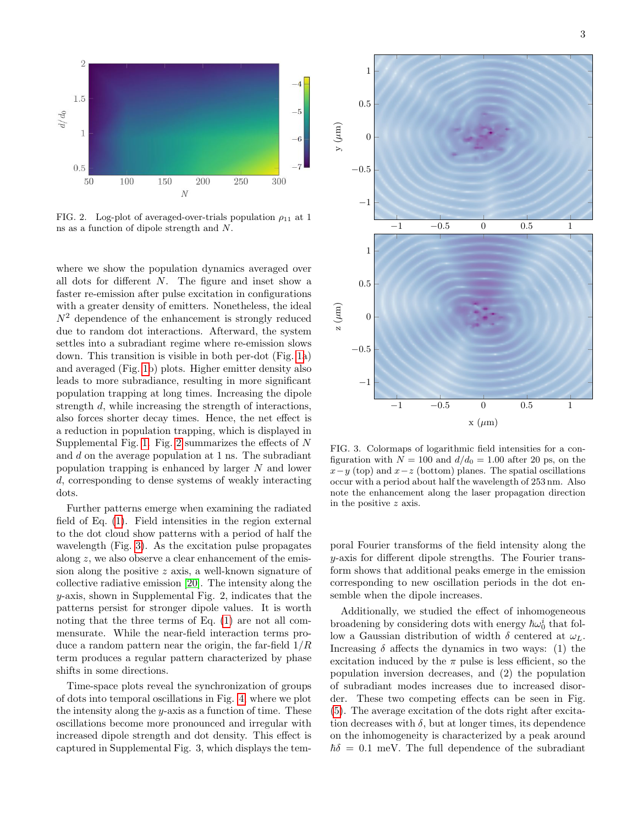

<span id="page-2-0"></span>FIG. 2. Log-plot of averaged-over-trials population  $\rho_{11}$  at 1 ns as a function of dipole strength and N.

where we show the population dynamics averaged over all dots for different N. The figure and inset show a faster re-emission after pulse excitation in configurations with a greater density of emitters. Nonetheless, the ideal  $N^2$  dependence of the enhancement is strongly reduced due to random dot interactions. Afterward, the system settles into a subradiant regime where re-emission slows down. This transition is visible in both per-dot (Fig. [1a](#page-1-1)) and averaged (Fig. [1b](#page-1-1)) plots. Higher emitter density also leads to more subradiance, resulting in more significant population trapping at long times. Increasing the dipole strength d, while increasing the strength of interactions, also forces shorter decay times. Hence, the net effect is a reduction in population trapping, which is displayed in Supplemental Fig. [1.](#page-1-1) Fig. [2](#page-2-0) summarizes the effects of  $N$ and d on the average population at 1 ns. The subradiant population trapping is enhanced by larger  $N$  and lower d, corresponding to dense systems of weakly interacting dots.

Further patterns emerge when examining the radiated field of Eq. [\(1\)](#page-1-0). Field intensities in the region external to the dot cloud show patterns with a period of half the wavelength (Fig. [3\)](#page-2-1). As the excitation pulse propagates along z, we also observe a clear enhancement of the emission along the positive z axis, a well-known signature of collective radiative emission [\[20\]](#page-4-15). The intensity along the y-axis, shown in Supplemental Fig. 2, indicates that the patterns persist for stronger dipole values. It is worth noting that the three terms of Eq. [\(1\)](#page-1-0) are not all commensurate. While the near-field interaction terms produce a random pattern near the origin, the far-field  $1/R$ term produces a regular pattern characterized by phase shifts in some directions.

Time-space plots reveal the synchronization of groups of dots into temporal oscillations in Fig. [4,](#page-3-2) where we plot the intensity along the  $y$ -axis as a function of time. These oscillations become more pronounced and irregular with increased dipole strength and dot density. This effect is captured in Supplemental Fig. 3, which displays the tem-



<span id="page-2-1"></span>FIG. 3. Colormaps of logarithmic field intensities for a configuration with  $N = 100$  and  $d/d_0 = 1.00$  after 20 ps, on the  $x-y$  (top) and  $x-z$  (bottom) planes. The spatial oscillations occur with a period about half the wavelength of 253 nm. Also note the enhancement along the laser propagation direction in the positive z axis.

poral Fourier transforms of the field intensity along the  $y$ -axis for different dipole strengths. The Fourier transform shows that additional peaks emerge in the emission corresponding to new oscillation periods in the dot ensemble when the dipole increases.

Additionally, we studied the effect of inhomogeneous broadening by considering dots with energy  $\hbar \omega_0^i$  that follow a Gaussian distribution of width δ centered at  $ω<sub>L</sub>$ . Increasing  $\delta$  affects the dynamics in two ways: (1) the excitation induced by the  $\pi$  pulse is less efficient, so the population inversion decreases, and (2) the population of subradiant modes increases due to increased disorder. These two competing effects can be seen in Fig. [\(5\)](#page-3-3). The average excitation of the dots right after excitation decreases with  $\delta$ , but at longer times, its dependence on the inhomogeneity is characterized by a peak around  $\hbar\delta = 0.1$  meV. The full dependence of the subradiant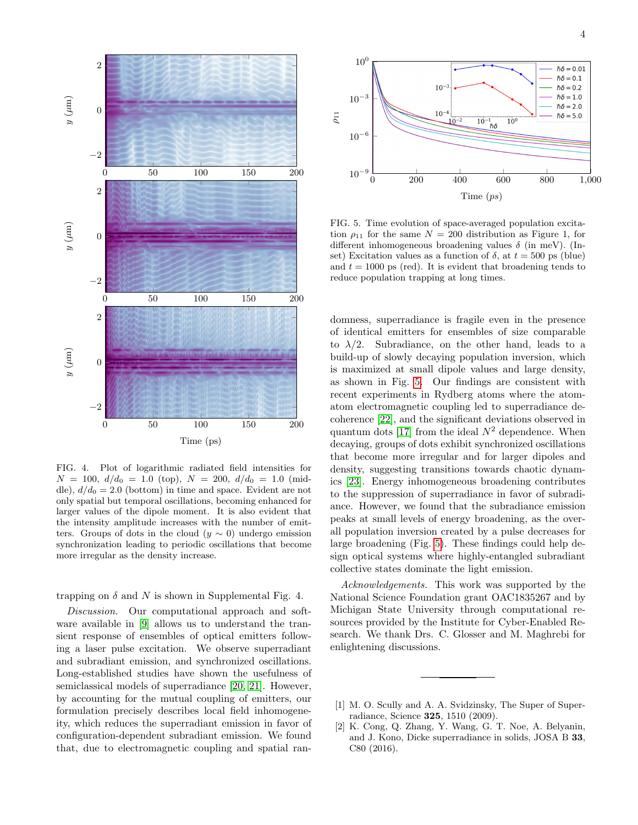



<span id="page-3-2"></span>FIG. 4. Plot of logarithmic radiated field intensities for  $N = 100, d/d_0 = 1.0$  (top),  $N = 200, d/d_0 = 1.0$  (middle),  $d/d_0 = 2.0$  (bottom) in time and space. Evident are not only spatial but temporal oscillations, becoming enhanced for larger values of the dipole moment. It is also evident that the intensity amplitude increases with the number of emitters. Groups of dots in the cloud  $(y \sim 0)$  undergo emission synchronization leading to periodic oscillations that become more irregular as the density increase.

trapping on  $\delta$  and N is shown in Supplemental Fig. 4.

Discussion. Our computational approach and software available in [\[9\]](#page-4-6) allows us to understand the transient response of ensembles of optical emitters following a laser pulse excitation. We observe superradiant and subradiant emission, and synchronized oscillations. Long-established studies have shown the usefulness of semiclassical models of superradiance [\[20,](#page-4-15) [21\]](#page-4-16). However, by accounting for the mutual coupling of emitters, our formulation precisely describes local field inhomogeneity, which reduces the superradiant emission in favor of configuration-dependent subradiant emission. We found that, due to electromagnetic coupling and spatial ran-



<span id="page-3-3"></span>FIG. 5. Time evolution of space-averaged population excitation  $\rho_{11}$  for the same  $N = 200$  distribution as Figure 1, for different inhomogeneous broadening values  $\delta$  (in meV). (Inset) Excitation values as a function of  $\delta$ , at  $t = 500$  ps (blue) and  $t = 1000$  ps (red). It is evident that broadening tends to reduce population trapping at long times.

domness, superradiance is fragile even in the presence of identical emitters for ensembles of size comparable to  $\lambda/2$ . Subradiance, on the other hand, leads to a build-up of slowly decaying population inversion, which is maximized at small dipole values and large density, as shown in Fig. [5.](#page-3-3) Our findings are consistent with recent experiments in Rydberg atoms where the atomatom electromagnetic coupling led to superradiance decoherence [\[22\]](#page-4-17), and the significant deviations observed in quantum dots [\[17\]](#page-4-12) from the ideal  $N^2$  dependence. When decaying, groups of dots exhibit synchronized oscillations that become more irregular and for larger dipoles and density, suggesting transitions towards chaotic dynamics [\[23\]](#page-4-18). Energy inhomogeneous broadening contributes to the suppression of superradiance in favor of subradiance. However, we found that the subradiance emission peaks at small levels of energy broadening, as the overall population inversion created by a pulse decreases for large broadening (Fig. [5\)](#page-3-3). These findings could help design optical systems where highly-entangled subradiant collective states dominate the light emission.

Acknowledgements. This work was supported by the National Science Foundation grant OAC1835267 and by Michigan State University through computational resources provided by the Institute for Cyber-Enabled Research. We thank Drs. C. Glosser and M. Maghrebi for enlightening discussions.

- <span id="page-3-0"></span>[1] M. O. Scully and A. A. Svidzinsky, The Super of Superradiance, Science 325, 1510 (2009).
- <span id="page-3-1"></span>[2] K. Cong, Q. Zhang, Y. Wang, G. T. Noe, A. Belyanin, and J. Kono, Dicke superradiance in solids, JOSA B 33, C80 (2016).